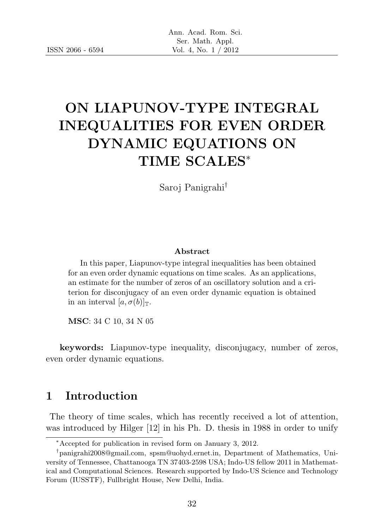# ON LIAPUNOV-TYPE INTEGRAL INEQUALITIES FOR EVEN ORDER DYNAMIC EQUATIONS ON TIME SCALES<sup>∗</sup>

Saroj Panigrahi†

#### Abstract

In this paper, Liapunov-type integral inequalities has been obtained for an even order dynamic equations on time scales. As an applications, an estimate for the number of zeros of an oscillatory solution and a criterion for disconjugacy of an even order dynamic equation is obtained in an interval  $[a, \sigma(b)]_T$ .

MSC: 34 C 10, 34 N 05

keywords: Liapunov-type inequality, disconjugacy, number of zeros, even order dynamic equations.

### 1 Introduction

The theory of time scales, which has recently received a lot of attention, was introduced by Hilger [12] in his Ph. D. thesis in 1988 in order to unify

<sup>∗</sup>Accepted for publication in revised form on January 3, 2012.

<sup>†</sup> panigrahi2008@gmail.com, spsm@uohyd.ernet.in, Department of Mathematics, University of Tennessee, Chattanooga TN 37403-2598 USA; Indo-US fellow 2011 in Mathematical and Computational Sciences. Research supported by Indo-US Science and Technology Forum (IUSSTF), Fullbright House, New Delhi, India.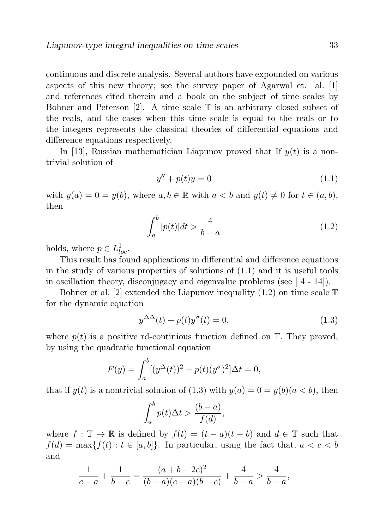continuous and discrete analysis. Several authors have expounded on various aspects of this new theory; see the survey paper of Agarwal et. al. [1] and references cited therein and a book on the subject of time scales by Bohner and Peterson  $[2]$ . A time scale  $\mathbb T$  is an arbitrary closed subset of the reals, and the cases when this time scale is equal to the reals or to the integers represents the classical theories of differential equations and difference equations respectively.

In [13], Russian mathematician Liapunov proved that If  $y(t)$  is a nontrivial solution of

$$
y'' + p(t)y = 0 \tag{1.1}
$$

with  $y(a) = 0 = y(b)$ , where  $a, b \in \mathbb{R}$  with  $a < b$  and  $y(t) \neq 0$  for  $t \in (a, b)$ , then

$$
\int_{a}^{b} |p(t)|dt > \frac{4}{b-a} \tag{1.2}
$$

holds, where  $p \in L^1_{loc}$ .

This result has found applications in differential and difference equations in the study of various properties of solutions of  $(1.1)$  and it is useful tools in oscillation theory, disconjugacy and eigenvalue problems (see  $[4 - 14]$ ).

Bohner et al. [2] extended the Liapunov inequality  $(1.2)$  on time scale  $\mathbb T$ for the dynamic equation

$$
y^{\Delta\Delta}(t) + p(t)y^{\sigma}(t) = 0,
$$
\n(1.3)

where  $p(t)$  is a positive rd-continious function defined on  $\mathbb{T}$ . They proved, by using the quadratic functional equation

$$
F(y) = \int_{a}^{b} [(y^{\Delta}(t))^{2} - p(t)(y^{\sigma})^{2}] \Delta t = 0,
$$

that if  $y(t)$  is a nontrivial solution of (1.3) with  $y(a) = 0 = y(b)(a < b)$ , then

$$
\int_{a}^{b} p(t)\Delta t > \frac{(b-a)}{f(d)},
$$

where  $f : \mathbb{T} \to \mathbb{R}$  is defined by  $f(t) = (t - a)(t - b)$  and  $d \in \mathbb{T}$  such that  $f(d) = \max\{f(t) : t \in [a, b]\}.$  In particular, using the fact that,  $a < c < b$ and

$$
\frac{1}{c-a} + \frac{1}{b-c} = \frac{(a+b-2c)^2}{(b-a)(c-a)(b-c)} + \frac{4}{b-a} > \frac{4}{b-a},
$$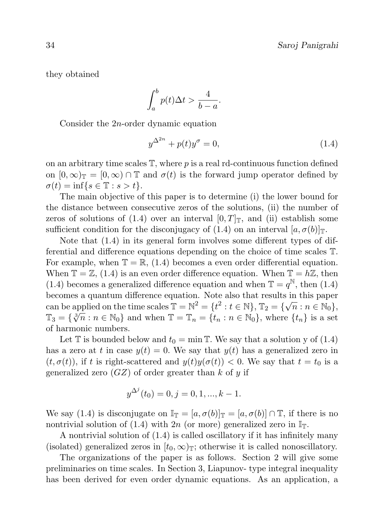they obtained

$$
\int_{a}^{b} p(t)\Delta t > \frac{4}{b-a}.
$$

Consider the 2n-order dynamic equation

$$
y^{\Delta^{2n}} + p(t)y^{\sigma} = 0,\tag{1.4}
$$

on an arbitrary time scales  $\mathbb{T}$ , where p is a real rd-continuous function defined on  $[0, \infty)$ <sub>T</sub> =  $[0, \infty)$   $\cap$  T and  $\sigma(t)$  is the forward jump operator defined by  $\sigma(t) = \inf\{s \in \mathbb{T} : s > t\}.$ 

The main objective of this paper is to determine (i) the lower bound for the distance between consecutive zeros of the solutions, (ii) the number of zeros of solutions of (1.4) over an interval  $[0, T]_{\mathbb{T}}$ , and (ii) establish some sufficient condition for the disconjugacy of (1.4) on an interval  $[a, \sigma(b)]_{\mathbb{T}}$ .

Note that (1.4) in its general form involves some different types of differential and difference equations depending on the choice of time scales T. For example, when  $\mathbb{T} = \mathbb{R}$ , (1.4) becomes a even order differential equation. When  $\mathbb{T} = \mathbb{Z}$ , (1.4) is an even order difference equation. When  $\mathbb{T} = h\mathbb{Z}$ , then (1.4) becomes a generalized difference equation and when  $\mathbb{T} = q^{\mathbb{N}}$ , then (1.4) becomes a quantum difference equation. Note also that results in this paper can be applied on the time scales  $\mathbb{T} = \mathbb{N}^2 = \{t^2 : t \in \mathbb{N}\}, \mathbb{T}_2 = \{\sqrt{n} : n \in \mathbb{N}_0\},\$ Can be applied on the time scales  $\mathbb{I} = \{v : v \in \mathbb{N}\}$ ,  $\mathbb{I}_2 = \{v : v : v \in \mathbb{N}\}$ ,  $\mathbb{I}_3 = \{\sqrt[3]{n} : n \in \mathbb{N}_0\}$  and when  $\mathbb{T} = \mathbb{T}_n = \{t_n : n \in \mathbb{N}_0\}$ , where  $\{t_n\}$  is a set of harmonic numbers.

Let  $\mathbb T$  is bounded below and  $t_0 = \min \mathbb T$ . We say that a solution y of (1.4) has a zero at t in case  $y(t) = 0$ . We say that  $y(t)$  has a generalized zero in  $(t, \sigma(t))$ , if t is right-scattered and  $y(t)y(\sigma(t)) < 0$ . We say that  $t = t_0$  is a generalized zero  $(GZ)$  of order greater than k of y if

$$
y^{\Delta^{j}}(t_0) = 0, j = 0, 1, ..., k - 1.
$$

We say (1.4) is disconjugate on  $\mathbb{I}_{\mathbb{T}} = [a, \sigma(b)]_{\mathbb{T}} = [a, \sigma(b)] \cap \mathbb{T}$ , if there is no nontrivial solution of (1.4) with 2n (or more) generalized zero in  $\mathbb{I}_{\mathbb{T}}$ .

A nontrivial solution of (1.4) is called oscillatory if it has infinitely many (isolated) generalized zeros in  $[t_0, \infty)$ <sub>T</sub>; otherwise it is called nonoscillatory.

The organizations of the paper is as follows. Section 2 will give some preliminaries on time scales. In Section 3, Liapunov- type integral inequality has been derived for even order dynamic equations. As an application, a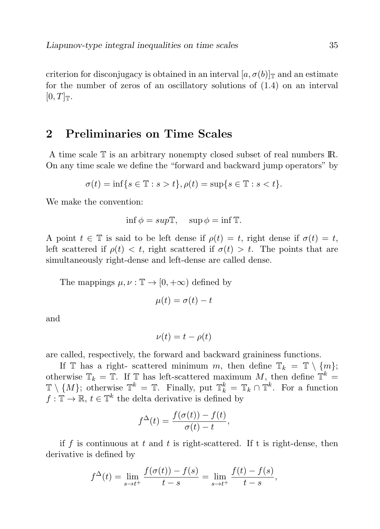criterion for disconjugacy is obtained in an interval  $[a, \sigma(b)]_T$  and an estimate for the number of zeros of an oscillatory solutions of (1.4) on an interval  $[0, T]_{\mathbb{T}}$ .

## 2 Preliminaries on Time Scales

A time scale T is an arbitrary nonempty closed subset of real numbers IR. On any time scale we define the "forward and backward jump operators" by

$$
\sigma(t) = \inf\{s \in \mathbb{T} : s > t\}, \rho(t) = \sup\{s \in \mathbb{T} : s < t\}.
$$

We make the convention:

$$
\inf \phi = sup\mathbb{T}, \quad \sup \phi = \inf \mathbb{T}.
$$

A point  $t \in \mathbb{T}$  is said to be left dense if  $\rho(t) = t$ , right dense if  $\sigma(t) = t$ , left scattered if  $\rho(t) < t$ , right scattered if  $\sigma(t) > t$ . The points that are simultaneously right-dense and left-dense are called dense.

The mappings  $\mu, \nu : \mathbb{T} \to [0, +\infty)$  defined by

$$
\mu(t) = \sigma(t) - t
$$

and

$$
\nu(t) = t - \rho(t)
$$

are called, respectively, the forward and backward graininess functions.

If  $\mathbb T$  has a right- scattered minimum m, then define  $\mathbb T_k = \mathbb T \setminus \{m\};$ otherwise  $\mathbb{T}_k = \mathbb{T}$ . If  $\mathbb{T}$  has left-scattered maximum M, then define  $\mathbb{T}^k =$  $\mathbb{T} \setminus \{M\}$ ; otherwise  $\mathbb{T}^k = \mathbb{T}$ . Finally, put  $\mathbb{T}_k^k = \mathbb{T}_k \cap \mathbb{T}^k$ . For a function  $f: \mathbb{T} \to \mathbb{R}, t \in \mathbb{T}^k$  the delta derivative is defined by

$$
f^{\Delta}(t) = \frac{f(\sigma(t)) - f(t)}{\sigma(t) - t},
$$

if f is continuous at t and t is right-scattered. If t is right-dense, then derivative is defined by

$$
f^{\Delta}(t) = \lim_{s \to t^{+}} \frac{f(\sigma(t)) - f(s)}{t - s} = \lim_{s \to t^{+}} \frac{f(t) - f(s)}{t - s},
$$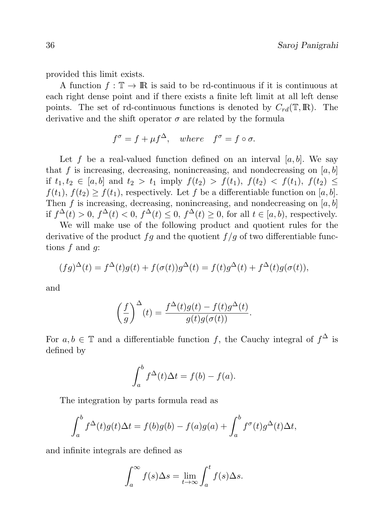provided this limit exists.

A function  $f: \mathbb{T} \to \mathbb{R}$  is said to be rd-continuous if it is continuous at each right dense point and if there exists a finite left limit at all left dense points. The set of rd-continuous functions is denoted by  $C_{rd}(\mathbb{T},\mathbb{R})$ . The derivative and the shift operator  $\sigma$  are related by the formula

$$
f^{\sigma} = f + \mu f^{\Delta}, \quad where \quad f^{\sigma} = f \circ \sigma.
$$

Let f be a real-valued function defined on an interval  $[a, b]$ . We say that f is increasing, decreasing, nonincreasing, and nondecreasing on  $[a, b]$ if  $t_1, t_2 \in [a, b]$  and  $t_2 > t_1$  imply  $f(t_2) > f(t_1), f(t_2) < f(t_1), f(t_2) \le$  $f(t_1), f(t_2) \geq f(t_1)$ , respectively. Let f be a differentiable function on [a, b]. Then f is increasing, decreasing, nonincreasing, and nondecreasing on  $[a, b]$ if  $f^{\Delta}(t) > 0$ ,  $f^{\Delta}(t) < 0$ ,  $f^{\Delta}(t) \leq 0$ ,  $f^{\Delta}(t) \geq 0$ , for all  $t \in [a, b)$ , respectively.

We will make use of the following product and quotient rules for the derivative of the product  $fg$  and the quotient  $f/g$  of two differentiable functions  $f$  and  $g$ :

$$
(fg)^{\Delta}(t) = f^{\Delta}(t)g(t) + f(\sigma(t))g^{\Delta}(t) = f(t)g^{\Delta}(t) + f^{\Delta}(t)g(\sigma(t)),
$$

and

$$
\left(\frac{f}{g}\right)^{\Delta}(t) = \frac{f^{\Delta}(t)g(t) - f(t)g^{\Delta}(t)}{g(t)g(\sigma(t))}.
$$

For  $a, b \in \mathbb{T}$  and a differentiable function f, the Cauchy integral of  $f^{\Delta}$  is defined by

$$
\int_a^b f^{\Delta}(t)\Delta t = f(b) - f(a).
$$

The integration by parts formula read as

$$
\int_a^b f^{\Delta}(t)g(t)\Delta t = f(b)g(b) - f(a)g(a) + \int_a^b f^{\sigma}(t)g^{\Delta}(t)\Delta t,
$$

and infinite integrals are defined as

$$
\int_{a}^{\infty} f(s) \Delta s = \lim_{t \to \infty} \int_{a}^{t} f(s) \Delta s.
$$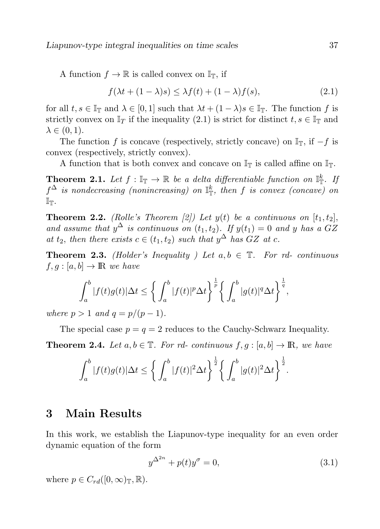A function  $f \to \mathbb{R}$  is called convex on  $\mathbb{I}_{\mathbb{T}}$ , if

$$
f(\lambda t + (1 - \lambda)s) \le \lambda f(t) + (1 - \lambda)f(s),
$$
\n(2.1)

for all  $t, s \in \mathbb{I}_{\mathbb{T}}$  and  $\lambda \in [0, 1]$  such that  $\lambda t + (1 - \lambda)s \in \mathbb{I}_{\mathbb{T}}$ . The function f is strictly convex on  $\mathbb{I}_T$  if the inequality (2.1) is strict for distinct  $t, s \in \mathbb{I}_T$  and  $\lambda \in (0,1)$ .

The function f is concave (respectively, strictly concave) on  $\mathbb{I}_{T}$ , if  $-f$  is convex (respectively, strictly convex).

A function that is both convex and concave on  $\mathbb{I}_{\mathbb{T}}$  is called affine on  $\mathbb{I}_{\mathbb{T}}$ .

**Theorem 2.1.** Let  $f : \mathbb{I}_{\mathbb{T}} \to \mathbb{R}$  be a delta differentiable function on  $\mathbb{I}_{\mathbb{T}}^k$ . If  $f^{\Delta}$  is nondecreasing (nonincreasing) on  $\mathbb{I}^k_{\mathbb{T}}$ , then f is convex (concave) on  $\mathbb{I}_{\mathbb{T}}.$ 

**Theorem 2.2.** (Rolle's Theorem [2]) Let  $y(t)$  be a continuous on  $[t_1, t_2]$ , and assume that  $y^{\Delta}$  is continuous on  $(t_1, t_2)$ . If  $y(t_1) = 0$  and y has a GZ at  $t_2$ , then there exists  $c \in (t_1, t_2)$  such that  $y^{\Delta}$  has  $GZ$  at c.

**Theorem 2.3.** (Holder's Inequality ) Let  $a, b \in \mathbb{T}$ . For rd- continuous  $f, g : [a, b] \to \mathbb{R}$  we have

$$
\int_a^b |f(t)g(t)| \Delta t \le \left\{ \int_a^b |f(t)|^p \Delta t \right\}^{\frac{1}{p}} \left\{ \int_a^b |g(t)|^q \Delta t \right\}^{\frac{1}{q}},
$$

where  $p > 1$  and  $q = p/(p-1)$ .

The special case  $p = q = 2$  reduces to the Cauchy-Schwarz Inequality.

**Theorem 2.4.** Let  $a, b \in \mathbb{T}$ . For rd- continuous  $f, g : [a, b] \to \mathbb{R}$ , we have

$$
\int_{a}^{b} |f(t)g(t)| \Delta t \le \left\{ \int_{a}^{b} |f(t)|^{2} \Delta t \right\}^{\frac{1}{2}} \left\{ \int_{a}^{b} |g(t)|^{2} \Delta t \right\}^{\frac{1}{2}}.
$$

### 3 Main Results

In this work, we establish the Liapunov-type inequality for an even order dynamic equation of the form

$$
y^{\Delta^{2n}} + p(t)y^{\sigma} = 0,\tag{3.1}
$$

where  $p \in C_{rd}([0,\infty)_\mathbb{T},\mathbb{R})$ .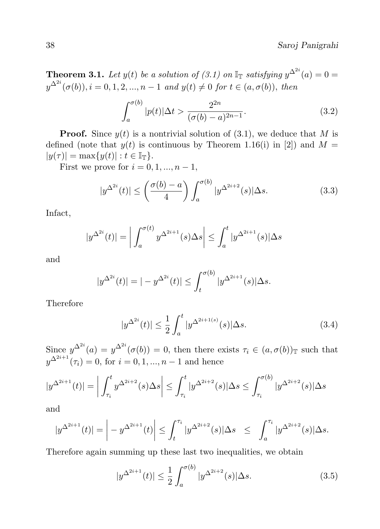**Theorem 3.1.** Let  $y(t)$  be a solution of (3.1) on  $\mathbb{I}_{\mathbb{T}}$  satisfying  $y^{\Delta^{2i}}(a) = 0$  $y^{\Delta^{2i}}(\sigma(b)), i = 0, 1, 2, ..., n-1$  and  $y(t) \neq 0$  for  $t \in (a, \sigma(b)),$  then

$$
\int_{a}^{\sigma(b)} |p(t)| \Delta t > \frac{2^{2n}}{(\sigma(b) - a)^{2n - 1}}.
$$
\n(3.2)

**Proof.** Since  $y(t)$  is a nontrivial solution of (3.1), we deduce that M is defined (note that  $y(t)$  is continuous by Theorem 1.16(i) in [2]) and  $M =$  $|y(\tau)| = \max\{y(t) | : t \in \mathbb{I}_{\mathbb{T}}\}.$ 

First we prove for  $i = 0, 1, ..., n - 1$ ,

$$
|y^{\Delta^{2i}}(t)| \le \left(\frac{\sigma(b)-a}{4}\right) \int_a^{\sigma(b)} |y^{\Delta^{2i+2}}(s)| \Delta s. \tag{3.3}
$$

Infact,

$$
|y^{\Delta^{2i}}(t)| = \left| \int_a^{\sigma(t)} y^{\Delta^{2i+1}}(s) \Delta s \right| \le \int_a^t |y^{\Delta^{2i+1}}(s)| \Delta s
$$

and

$$
|y^{\Delta^{2i}}(t)| = |-y^{\Delta^{2i}}(t)| \le \int_t^{\sigma(b)} |y^{\Delta^{2i+1}}(s)| \Delta s.
$$

Therefore

$$
|y^{\Delta^{2i}}(t)| \le \frac{1}{2} \int_a^t |y^{\Delta^{2i+1(s)}}(s)| \Delta s. \tag{3.4}
$$

Since  $y^{\Delta^{2i}}(a) = y^{\Delta^{2i}}(\sigma(b)) = 0$ , then there exists  $\tau_i \in (a, \sigma(b))_{\mathbb{T}}$  such that  $y^{\Delta^{2i+1}}(\tau_i) = 0$ , for  $i = 0, 1, ..., n-1$  and hence

$$
|y^{\Delta^{2i+1}}(t)| = \left| \int_{\tau_i}^t y^{\Delta^{2i+2}}(s) \Delta s \right| \le \int_{\tau_i}^t |y^{\Delta^{2i+2}}(s)| \Delta s \le \int_{\tau_i}^{\sigma(b)} |y^{\Delta^{2i+2}}(s)| \Delta s
$$

and

$$
|y^{\Delta^{2i+1}}(t)| = \left| -y^{\Delta^{2i+1}}(t) \right| \leq \int_{t}^{\tau_i} |y^{\Delta^{2i+2}}(s)| \Delta s \leq \int_{a}^{\tau_i} |y^{\Delta^{2i+2}}(s)| \Delta s.
$$

Therefore again summing up these last two inequalities, we obtain

$$
|y^{\Delta^{2i+1}}(t)| \le \frac{1}{2} \int_{a}^{\sigma(b)} |y^{\Delta^{2i+2}}(s)| \Delta s. \tag{3.5}
$$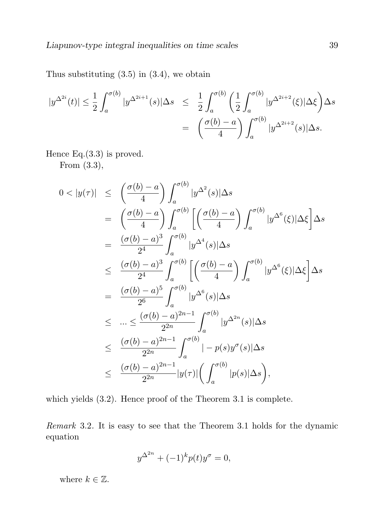Thus substituting  $(3.5)$  in  $(3.4)$ , we obtain

$$
|y^{\Delta^{2i}}(t)| \leq \frac{1}{2} \int_{a}^{\sigma(b)} |y^{\Delta^{2i+1}}(s)| \Delta s \leq \frac{1}{2} \int_{a}^{\sigma(b)} \left(\frac{1}{2} \int_{a}^{\sigma(b)} |y^{\Delta^{2i+2}}(\xi)| \Delta \xi\right) \Delta s
$$
  
=  $\left(\frac{\sigma(b) - a}{4}\right) \int_{a}^{\sigma(b)} |y^{\Delta^{2i+2}}(s)| \Delta s.$ 

Hence Eq.(3.3) is proved. From (3.3),

$$
0 < |y(\tau)| \leq \left(\frac{\sigma(b) - a}{4}\right) \int_{a}^{\sigma(b)} |y^{\Delta^2}(s)|\Delta s
$$
\n
$$
= \left(\frac{\sigma(b) - a}{4}\right) \int_{a}^{\sigma(b)} \left[ \left(\frac{\sigma(b) - a}{4}\right) \int_{a}^{\sigma(b)} |y^{\Delta^6}(\xi)|\Delta \xi \right] \Delta s
$$
\n
$$
= \frac{(\sigma(b) - a)^3}{2^4} \int_{a}^{\sigma(b)} |y^{\Delta^4}(s)|\Delta s
$$
\n
$$
\leq \frac{(\sigma(b) - a)^3}{2^4} \int_{a}^{\sigma(b)} \left[ \left(\frac{\sigma(b) - a}{4}\right) \int_{a}^{\sigma(b)} |y^{\Delta^6}(\xi)|\Delta \xi \right] \Delta s
$$
\n
$$
= \frac{(\sigma(b) - a)^5}{2^6} \int_{a}^{\sigma(b)} |y^{\Delta^6}(s)|\Delta s
$$
\n
$$
\leq \dots \leq \frac{(\sigma(b) - a)^{2n - 1}}{2^{2n}} \int_{a}^{\sigma(b)} |y^{\Delta^{2n}}(s)|\Delta s
$$
\n
$$
\leq \frac{(\sigma(b) - a)^{2n - 1}}{2^{2n}} \int_{a}^{\sigma(b)} |-p(s)y^{\sigma}(s)|\Delta s
$$
\n
$$
\leq \frac{(\sigma(b) - a)^{2n - 1}}{2^{2n}} |y(\tau)| \left( \int_{a}^{\sigma(b)} |p(s)|\Delta s \right),
$$

which yields (3.2). Hence proof of the Theorem 3.1 is complete.

Remark 3.2. It is easy to see that the Theorem 3.1 holds for the dynamic equation

$$
y^{\Delta^{2n}} + (-1)^k p(t)y^{\sigma} = 0,
$$

where  $k \in \mathbb{Z}$ .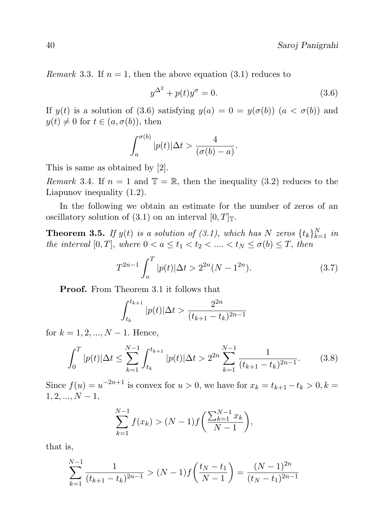*Remark* 3.3. If  $n = 1$ , then the above equation (3.1) reduces to

$$
y^{\Delta^2} + p(t)y^{\sigma} = 0.
$$
\n
$$
(3.6)
$$

If  $y(t)$  is a solution of (3.6) satisfying  $y(a) = 0 = y(\sigma(b))$   $(a < \sigma(b))$  and  $y(t) \neq 0$  for  $t \in (a, \sigma(b))$ , then

$$
\int_{a}^{\sigma(b)} |p(t)| \Delta t > \frac{4}{(\sigma(b) - a)}.
$$

This is same as obtained by [2].

Remark 3.4. If  $n = 1$  and  $\mathbb{T} = \mathbb{R}$ , then the inequality (3.2) reduces to the Liapunov inequality (1.2).

In the following we obtain an estimate for the number of zeros of an oscillatory solution of (3.1) on an interval  $[0, T]_{\mathbb{T}}$ .

**Theorem 3.5.** If  $y(t)$  is a solution of (3.1), which has N zeros  $\{t_k\}_{k=1}^N$  in the interval  $[0, T]$ , where  $0 < a \leq t_1 < t_2 < \ldots < t_N \leq \sigma(b) \leq T$ , then

$$
T^{2n-1} \int_{o}^{T} |p(t)| \Delta t > 2^{2n} (N - 1^{2n}).
$$
 (3.7)

Proof. From Theorem 3.1 it follows that

$$
\int_{t_k}^{t_{k+1}} |p(t)| \Delta t > \frac{2^{2n}}{(t_{k+1} - t_k)^{2n-1}}
$$

for  $k = 1, 2, ..., N - 1$ . Hence,

$$
\int_0^T |p(t)| \Delta t \le \sum_{k=1}^{N-1} \int_{t_k}^{t_{k+1}} |p(t)| \Delta t > 2^{2n} \sum_{k=1}^{N-1} \frac{1}{(t_{k+1} - t_k)^{2n-1}}.
$$
 (3.8)

Since  $f(u) = u^{-2n+1}$  is convex for  $u > 0$ , we have for  $x_k = t_{k+1} - t_k > 0$ ,  $k =$  $1, 2, ..., N - 1,$ 

$$
\sum_{k=1}^{N-1} f(x_k) > (N-1) f\left(\frac{\sum_{k=1}^{N-1} x_k}{N-1}\right),
$$

that is,

$$
\sum_{k=1}^{N-1} \frac{1}{(t_{k+1} - t_k)^{2n-1}} > (N-1)f\left(\frac{t_N - t_1}{N-1}\right) = \frac{(N-1)^{2n}}{(t_N - t_1)^{2n-1}}
$$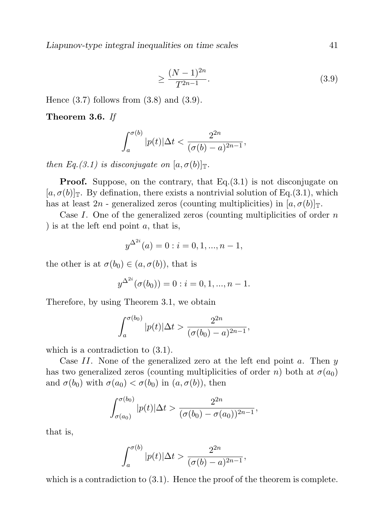Liapunov-type integral inequalities on time scales 41

$$
\geq \frac{(N-1)^{2n}}{T^{2n-1}}.\tag{3.9}
$$

Hence  $(3.7)$  follows from  $(3.8)$  and  $(3.9)$ .

Theorem 3.6. If

$$
\int_{a}^{\sigma(b)} |p(t)| \Delta t < \frac{2^{2n}}{(\sigma(b) - a)^{2n - 1}},
$$

then Eq.(3.1) is disconjugate on  $[a, \sigma(b)]_T$ .

**Proof.** Suppose, on the contrary, that  $Eq.(3.1)$  is not disconjugate on  $[a, \sigma(b)]_T$ . By defination, there exists a nontrivial solution of Eq.(3.1), which has at least  $2n$  - generalized zeros (counting multiplicities) in  $[a, \sigma(b)]_T$ .

Case I. One of the generalized zeros (counting multiplicities of order  $n$ ) ) is at the left end point a, that is,

$$
y^{\Delta^{2i}}(a) = 0 : i = 0, 1, ..., n - 1,
$$

the other is at  $\sigma(b_0) \in (a, \sigma(b))$ , that is

$$
y^{\Delta^{2i}}(\sigma(b_0)) = 0 : i = 0, 1, ..., n - 1.
$$

Therefore, by using Theorem 3.1, we obtain

$$
\int_{a}^{\sigma(b_0)} |p(t)| \Delta t > \frac{2^{2n}}{(\sigma(b_0) - a)^{2n-1}},
$$

which is a contradiction to  $(3.1)$ .

Case  $II$ . None of the generalized zero at the left end point  $a$ . Then  $y$ has two generalized zeros (counting multiplicities of order n) both at  $\sigma(a_0)$ and  $\sigma(b_0)$  with  $\sigma(a_0) < \sigma(b_0)$  in  $(a, \sigma(b))$ , then

$$
\int_{\sigma(a_0)}^{\sigma(b_0)} |p(t)| \Delta t > \frac{2^{2n}}{(\sigma(b_0) - \sigma(a_0))^{2n-1}},
$$

that is,

$$
\int_{a}^{\sigma(b)} |p(t)| \Delta t > \frac{2^{2n}}{(\sigma(b) - a)^{2n - 1}},
$$

which is a contradiction to  $(3.1)$ . Hence the proof of the theorem is complete.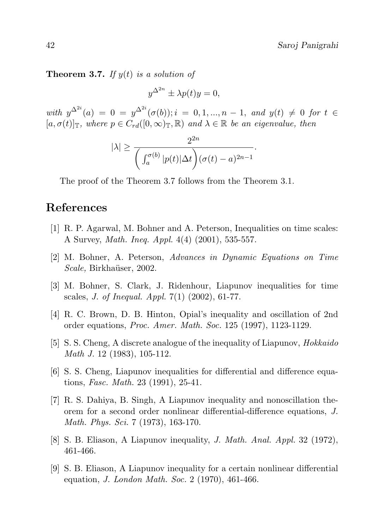**Theorem 3.7.** If  $y(t)$  is a solution of

$$
y^{\Delta^{2n}} \pm \lambda p(t)y = 0,
$$

with  $y^{\Delta^{2i}}(a) = 0 = y^{\Delta^{2i}}(\sigma(b)); i = 0, 1, ..., n-1$ , and  $y(t) \neq 0$  for  $t \in$  $[a, \sigma(t)]_{\mathbb{T}}$ , where  $p \in C_{rd}([0,\infty)_{\mathbb{T}}, \mathbb{R})$  and  $\lambda \in \mathbb{R}$  be an eigenvalue, then

$$
|\lambda| \ge \frac{2^{2n}}{\bigg(\int_a^{\sigma(b)} |p(t)| \Delta t\bigg)(\sigma(t) - a)^{2n-1}}.
$$

The proof of the Theorem 3.7 follows from the Theorem 3.1.

# References

- [1] R. P. Agarwal, M. Bohner and A. Peterson, Inequalities on time scales: A Survey, Math. Ineq. Appl. 4(4) (2001), 535-557.
- [2] M. Bohner, A. Peterson, Advances in Dynamic Equations on Time Scale, Birkhaüser, 2002.
- [3] M. Bohner, S. Clark, J. Ridenhour, Liapunov inequalities for time scales, *J. of Inequal. Appl.*  $7(1)$   $(2002)$ , 61-77.
- [4] R. C. Brown, D. B. Hinton, Opial's inequality and oscillation of 2nd order equations, Proc. Amer. Math. Soc. 125 (1997), 1123-1129.
- [5] S. S. Cheng, A discrete analogue of the inequality of Liapunov, Hokkaido Math J. 12 (1983), 105-112.
- [6] S. S. Cheng, Liapunov inequalities for differential and difference equations, Fasc. Math. 23 (1991), 25-41.
- [7] R. S. Dahiya, B. Singh, A Liapunov inequality and nonoscillation theorem for a second order nonlinear differential-difference equations, J. Math. Phys. Sci. 7 (1973), 163-170.
- [8] S. B. Eliason, A Liapunov inequality, J. Math. Anal. Appl. 32 (1972), 461-466.
- [9] S. B. Eliason, A Liapunov inequality for a certain nonlinear differential equation, J. London Math. Soc. 2 (1970), 461-466.